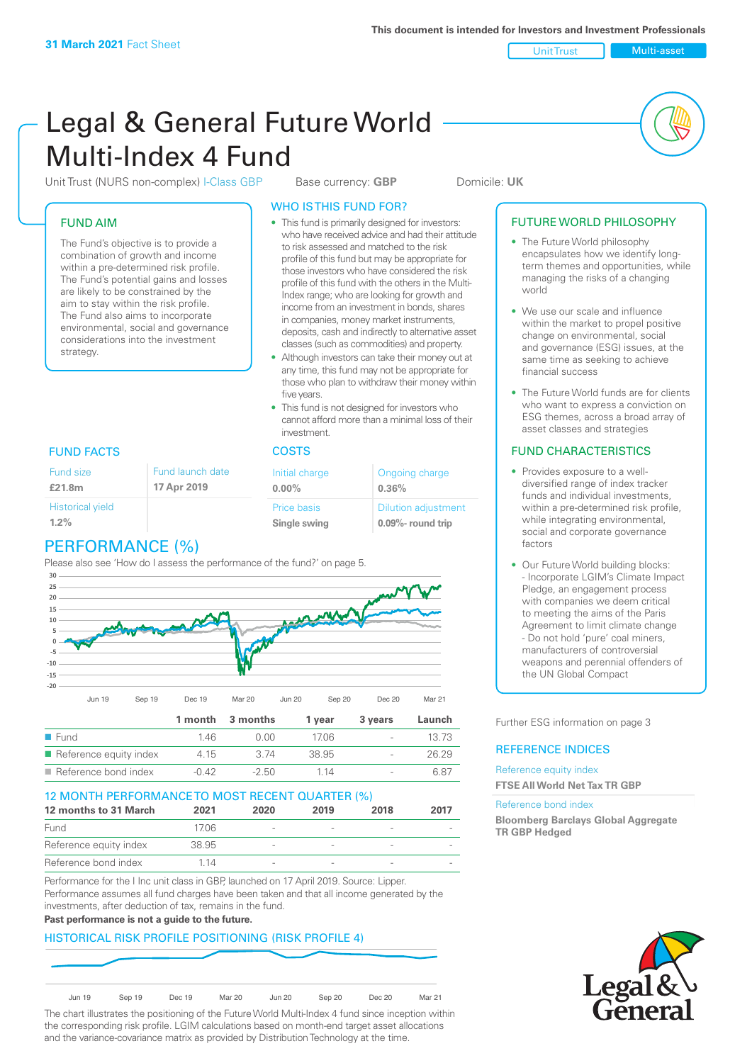Unit Trust Nulti-asset

# Legal & General Future World Multi-Index 4 Fund

Unit Trust (NURS non-complex) I-Class GBP Base currency: **GBP** Domicile: UK

### FUND AIM

The Fund's objective is to provide a combination of growth and income within a pre-determined risk profile. The Fund's potential gains and losses are likely to be constrained by the aim to stay within the risk profile. The Fund also aims to incorporate environmental, social and governance considerations into the investment strategy.

### WHO IS THIS FUND FOR?

- This fund is primarily designed for investors: who have received advice and had their attitude to risk assessed and matched to the risk profile of this fund but may be appropriate for those investors who have considered the risk profile of this fund with the others in the Multi-Index range; who are looking for growth and income from an investment in bonds, shares in companies, money market instruments, deposits, cash and indirectly to alternative asset classes (such as commodities) and property.
- Although investors can take their money out at any time, this fund may not be appropriate for those who plan to withdraw their money within five years.
- This fund is not designed for investors who cannot afford more than a minimal loss of their investment.

| Fund launch date | Initial charge              | Ongoing charge                                      |  |
|------------------|-----------------------------|-----------------------------------------------------|--|
| 17 Apr 2019      | $0.00\%$                    | 0.36%                                               |  |
|                  | Price basis<br>Single swing | <b>Dilution adjustment</b><br>$0.09\%$ - round trip |  |

### FUND FACTS COSTS

Historical yield

Fund size **£21.8m**

| $1.2\%$                       |  |
|-------------------------------|--|
| P P P P Q P R R R R Q P R Q Q |  |

#### PERFORMANCE (%) Please also see 'How do I assess the performance of the fund?' on page 5.



| ■ Fund                                | 146.  | ገ በበ    | 1706  | $\overline{\phantom{a}}$ |       |
|---------------------------------------|-------|---------|-------|--------------------------|-------|
| $\blacksquare$ Reference equity index | 4 15  | 3 74    | 38.95 | $\overline{\phantom{a}}$ | 26.29 |
| $\blacksquare$ Reference bond index   | -0.42 | $-2.50$ | 1 14  | $\overline{\phantom{a}}$ |       |

### 12 MONTH PERFORMANCE TO MOST RECENT QUARTER (%)

| 12 months to 31 March  | 2021  | 2020                     | 2019 | 2018 | 2017 |
|------------------------|-------|--------------------------|------|------|------|
| Fund                   | 1706  | $\overline{\phantom{a}}$ |      |      |      |
| Reference equity index | 38.95 | $\overline{\phantom{a}}$ |      |      |      |
| Reference bond index   | 114   | $\overline{\phantom{a}}$ |      |      |      |

Performance for the I Inc unit class in GBP, launched on 17 April 2019. Source: Lipper. Performance assumes all fund charges have been taken and that all income generated by the investments, after deduction of tax, remains in the fund.

### **Past performance is not a guide to the future.**

### HISTORICAL RISK PROFILE POSITIONING (RISK PROFILE 4)



The chart illustrates the positioning of the Future World Multi-Index 4 fund since inception within the corresponding risk profile. LGIM calculations based on month-end target asset allocations and the variance-covariance matrix as provided by Distribution Technology at the time.

### FUTURE WORLD PHILOSOPHY

- The Future World philosophy encapsulates how we identify longterm themes and opportunities, while managing the risks of a changing world
- We use our scale and influence within the market to propel positive change on environmental, social and governance (ESG) issues, at the same time as seeking to achieve financial success
- The Future World funds are for clients who want to express a conviction on ESG themes, across a broad array of asset classes and strategies

### FUND CHARACTERISTICS

- Provides exposure to a welldiversified range of index tracker funds and individual investments, within a pre-determined risk profile while integrating environmental, social and corporate governance factors
- Our Future World building blocks: - Incorporate LGIM's Climate Impact Pledge, an engagement process with companies we deem critical to meeting the aims of the Paris Agreement to limit climate change - Do not hold 'pure' coal miners, manufacturers of controversial weapons and perennial offenders of the UN Global Compact

Further ESG information on page 3

### REFERENCE INDICES

#### Reference equity index **FTSE All World Net Tax TR GBP**

#### Reference bond index

**Bloomberg Barclays Global Aggregate TR GBP Hedged**

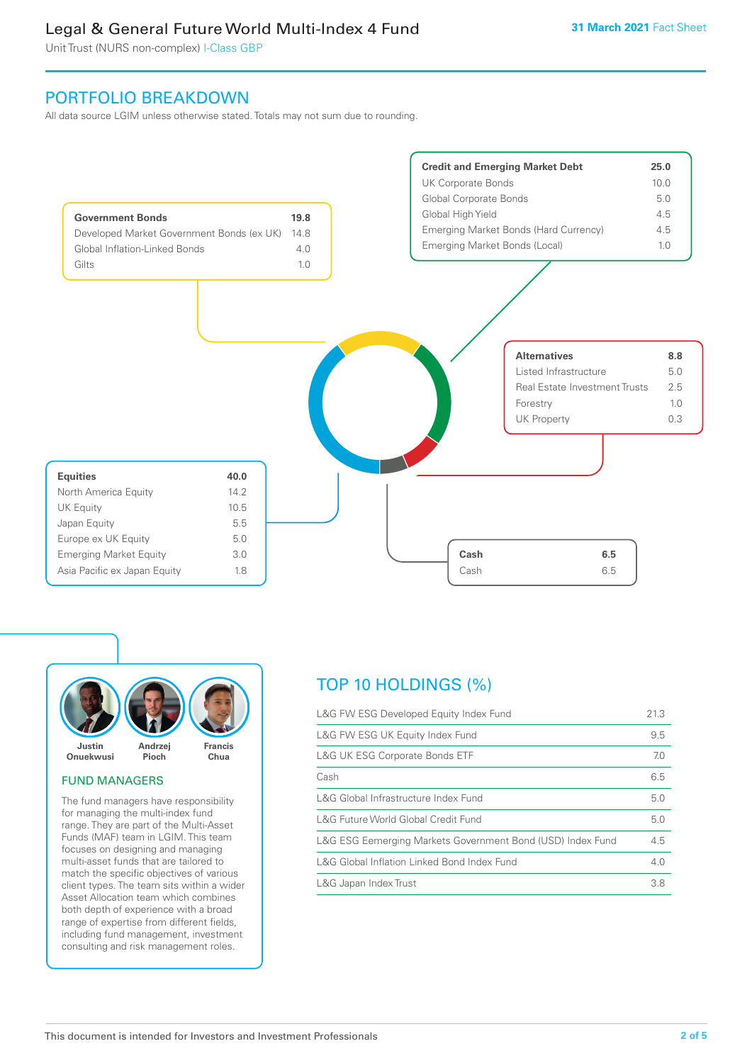Unit Trust (NURS non-complex) I-Class GBP

### PORTFOLIO BREAKDOWN

All data source LGIM unless otherwise stated. Totals may not sum due to rounding.





### FUND MANAGERS

The fund managers have responsibility for managing the multi-index fund range. They are part of the Multi-Asset Funds (MAF) team in LGIM. This team focuses on designing and managing multi-asset funds that are tailored to match the specific objectives of various client types. The team sits within a wider Asset Allocation team which combines both depth of experience with a broad range of expertise from different fields, including fund management, investment consulting and risk management roles.

### TOP 10 HOLDINGS (%)

| L&G FW ESG Developed Equity Index Fund                     | 21.3 |
|------------------------------------------------------------|------|
| L&G FW ESG UK Equity Index Fund                            | 9.5  |
| <b>L&amp;G UK ESG Corporate Bonds ETF</b>                  | 7.0  |
| Cash                                                       | 6.5  |
| L&G Global Infrastructure Index Fund                       | 5.0  |
| L&G Future World Global Credit Fund                        | 5.0  |
| L&G ESG Eemerging Markets Government Bond (USD) Index Fund | 4.5  |
| L&G Global Inflation Linked Bond Index Fund                | 4.0  |
| L&G Japan Index Trust                                      | 3.8  |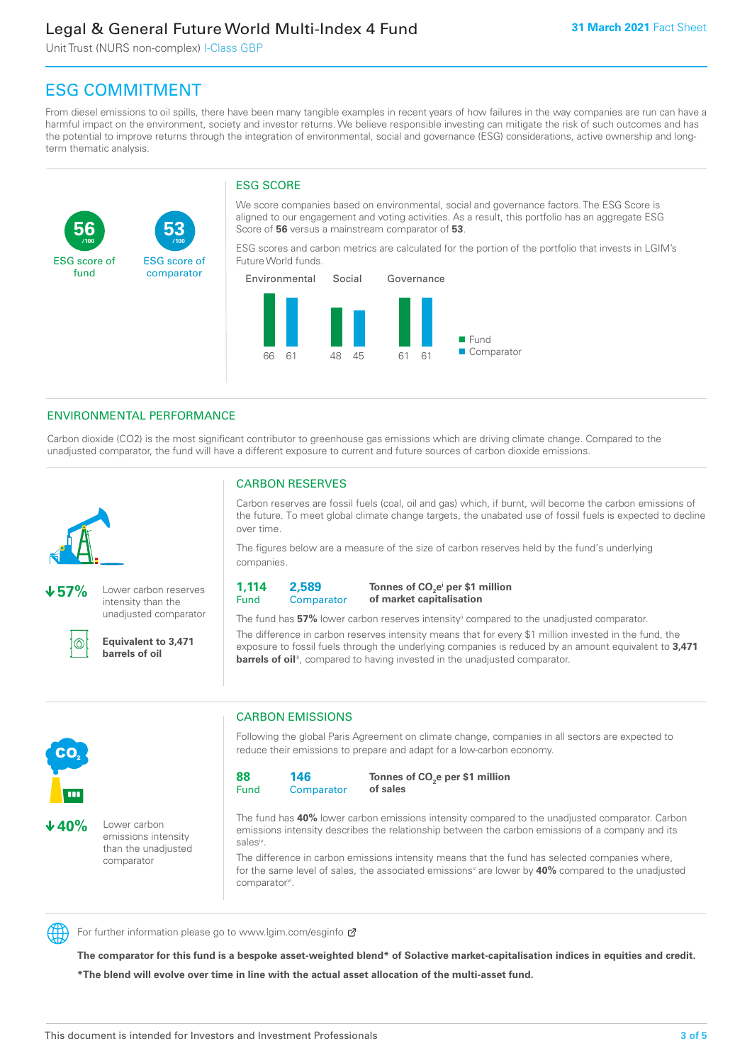Unit Trust (NURS non-complex) I-Class GBP

**53**

ESG score of comparator

## ESG COMMITMENT

**/100 /100**

From diesel emissions to oil spills, there have been many tangible examples in recent years of how failures in the way companies are run can have a harmful impact on the environment, society and investor returns. We believe responsible investing can mitigate the risk of such outcomes and has the potential to improve returns through the integration of environmental, social and governance (ESG) considerations, active ownership and longterm thematic analysis.

### ESG SCORE

We score companies based on environmental, social and governance factors. The ESG Score is aligned to our engagement and voting activities. As a result, this portfolio has an aggregate ESG Score of **56** versus a mainstream comparator of **53**.

ESG scores and carbon metrics are calculated for the portion of the portfolio that invests in LGIM's Future World funds.



### ENVIRONMENTAL PERFORMANCE

Carbon dioxide (CO2) is the most significant contributor to greenhouse gas emissions which are driving climate change. Compared to the unadjusted comparator, the fund will have a different exposure to current and future sources of carbon dioxide emissions.



**56**

ESG score of fund

**57%** Lower carbon reserves intensity than the unadjusted comparator

൘

CO<sub>2</sub>

**40%** Lower carbon

emissions intensity than the unadjusted comparator

**Equivalent to 3,471 barrels of oil**

### CARBON RESERVES

Carbon reserves are fossil fuels (coal, oil and gas) which, if burnt, will become the carbon emissions of the future. To meet global climate change targets, the unabated use of fossil fuels is expected to decline over time.

The figures below are a measure of the size of carbon reserves held by the fund's underlying companies.

**1,114** Fund **2,589 Comparator** 

**Tonnes of CO2 ei per \$1 million of market capitalisation**

The fund has **57%** lower carbon reserves intensityii compared to the unadjusted comparator. The difference in carbon reserves intensity means that for every \$1 million invested in the fund, the exposure to fossil fuels through the underlying companies is reduced by an amount equivalent to **3,471 barrels of oil**<sup>iii</sup>, compared to having invested in the unadjusted comparator.



Following the global Paris Agreement on climate change, companies in all sectors are expected to reduce their emissions to prepare and adapt for a low-carbon economy.



**Tonnes of CO2 e per \$1 million of sales**

The fund has **40%** lower carbon emissions intensity compared to the unadjusted comparator. Carbon emissions intensity describes the relationship between the carbon emissions of a company and its salesiv

The difference in carbon emissions intensity means that the fund has selected companies where, for the same level of sales, the associated emissions<sup>v</sup> are lower by 40% compared to the unadjusted comparator<sup>vi</sup>.



For further information please go to www.lgim.com/esginfo Ø

**The comparator for this fund is a bespoke asset-weighted blend\* of Solactive market-capitalisation indices in equities and credit. \*The blend will evolve over time in line with the actual asset allocation of the multi-asset fund.**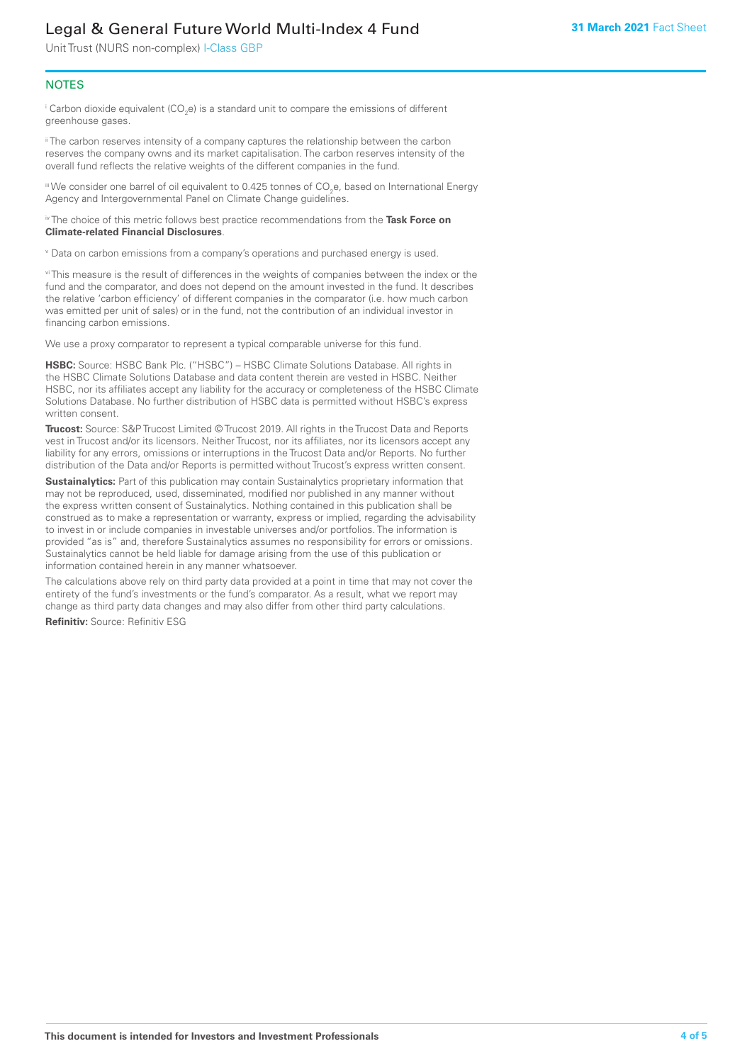Unit Trust (NURS non-complex) I-Class GBP

### **NOTES**

 $^\mathrm{i}$  Carbon dioxide equivalent (CO<sub>2</sub>e) is a standard unit to compare the emissions of different greenhouse gases.

<sup>ii</sup> The carbon reserves intensity of a company captures the relationship between the carbon reserves the company owns and its market capitalisation. The carbon reserves intensity of the overall fund reflects the relative weights of the different companies in the fund.

iii We consider one barrel of oil equivalent to 0.425 tonnes of CO<sub>2</sub>e, based on International Energy Agency and Intergovernmental Panel on Climate Change guidelines.

#### iv The choice of this metric follows best practice recommendations from the **Task Force on Climate-related Financial Disclosures**.

v Data on carbon emissions from a company's operations and purchased energy is used.

vi This measure is the result of differences in the weights of companies between the index or the fund and the comparator, and does not depend on the amount invested in the fund. It describes the relative 'carbon efficiency' of different companies in the comparator (i.e. how much carbon was emitted per unit of sales) or in the fund, not the contribution of an individual investor in financing carbon emissions.

We use a proxy comparator to represent a typical comparable universe for this fund.

**HSBC:** Source: HSBC Bank Plc. ("HSBC") – HSBC Climate Solutions Database. All rights in the HSBC Climate Solutions Database and data content therein are vested in HSBC. Neither HSBC, nor its affiliates accept any liability for the accuracy or completeness of the HSBC Climate Solutions Database. No further distribution of HSBC data is permitted without HSBC's express written consent.

**Trucost:** Source: S&P Trucost Limited © Trucost 2019. All rights in the Trucost Data and Reports vest in Trucost and/or its licensors. Neither Trucost, nor its affiliates, nor its licensors accept any liability for any errors, omissions or interruptions in the Trucost Data and/or Reports. No further distribution of the Data and/or Reports is permitted without Trucost's express written consent.

**Sustainalytics:** Part of this publication may contain Sustainalytics proprietary information that may not be reproduced, used, disseminated, modified nor published in any manner without the express written consent of Sustainalytics. Nothing contained in this publication shall be construed as to make a representation or warranty, express or implied, regarding the advisability to invest in or include companies in investable universes and/or portfolios. The information is provided "as is" and, therefore Sustainalytics assumes no responsibility for errors or omissions. Sustainalytics cannot be held liable for damage arising from the use of this publication or information contained herein in any manner whatsoever.

The calculations above rely on third party data provided at a point in time that may not cover the entirety of the fund's investments or the fund's comparator. As a result, what we report may change as third party data changes and may also differ from other third party calculations.

**Refinitiv:** Source: Refinitiv ESG